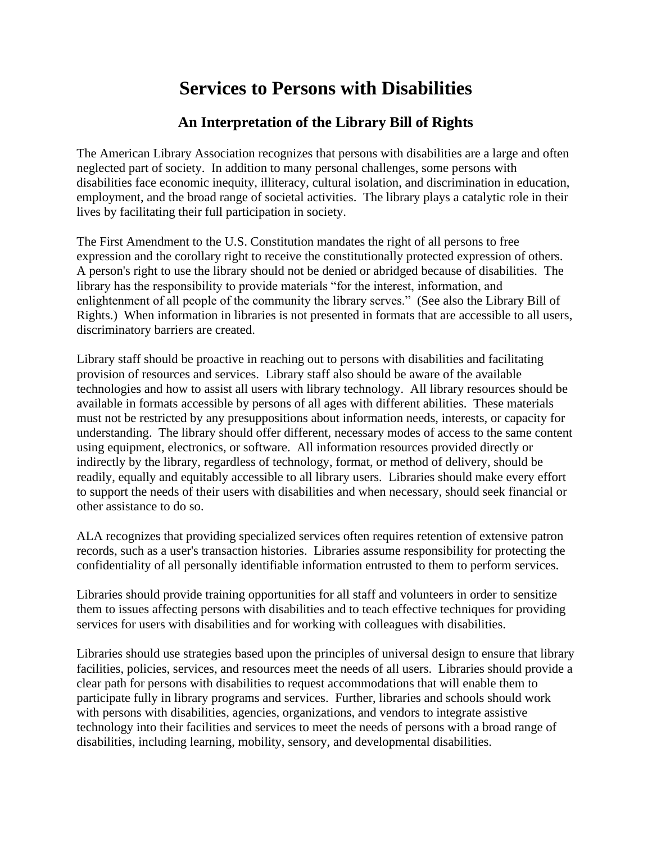## **Services to Persons with Disabilities**

## **An Interpretation of the Library Bill of Rights**

The American Library Association recognizes that persons with disabilities are a large and often neglected part of society. In addition to many personal challenges, some persons with disabilities face economic inequity, illiteracy, cultural isolation, and discrimination in education, employment, and the broad range of societal activities. The library plays a catalytic role in their lives by facilitating their full participation in society.

The First Amendment to the U.S. Constitution mandates the right of all persons to free expression and the corollary right to receive the constitutionally protected expression of others. A person's right to use the library should not be denied or abridged because of disabilities. The library has the responsibility to provide materials "for the interest, information, and enlightenment of all people of the community the library serves." (See also the Library Bill of Rights.) When information in libraries is not presented in formats that are accessible to all users, discriminatory barriers are created.

Library staff should be proactive in reaching out to persons with disabilities and facilitating provision of resources and services. Library staff also should be aware of the available technologies and how to assist all users with library technology. All library resources should be available in formats accessible by persons of all ages with different abilities. These materials must not be restricted by any presuppositions about information needs, interests, or capacity for understanding. The library should offer different, necessary modes of access to the same content using equipment, electronics, or software. All information resources provided directly or indirectly by the library, regardless of technology, format, or method of delivery, should be readily, equally and equitably accessible to all library users. Libraries should make every effort to support the needs of their users with disabilities and when necessary, should seek financial or other assistance to do so.

ALA recognizes that providing specialized services often requires retention of extensive patron records, such as a user's transaction histories. Libraries assume responsibility for protecting the confidentiality of all personally identifiable information entrusted to them to perform services.

Libraries should provide training opportunities for all staff and volunteers in order to sensitize them to issues affecting persons with disabilities and to teach effective techniques for providing services for users with disabilities and for working with colleagues with disabilities.

Libraries should use strategies based upon the principles of universal design to ensure that library facilities, policies, services, and resources meet the needs of all users. Libraries should provide a clear path for persons with disabilities to request accommodations that will enable them to participate fully in library programs and services. Further, libraries and schools should work with persons with disabilities, agencies, organizations, and vendors to integrate assistive technology into their facilities and services to meet the needs of persons with a broad range of disabilities, including learning, mobility, sensory, and developmental disabilities.